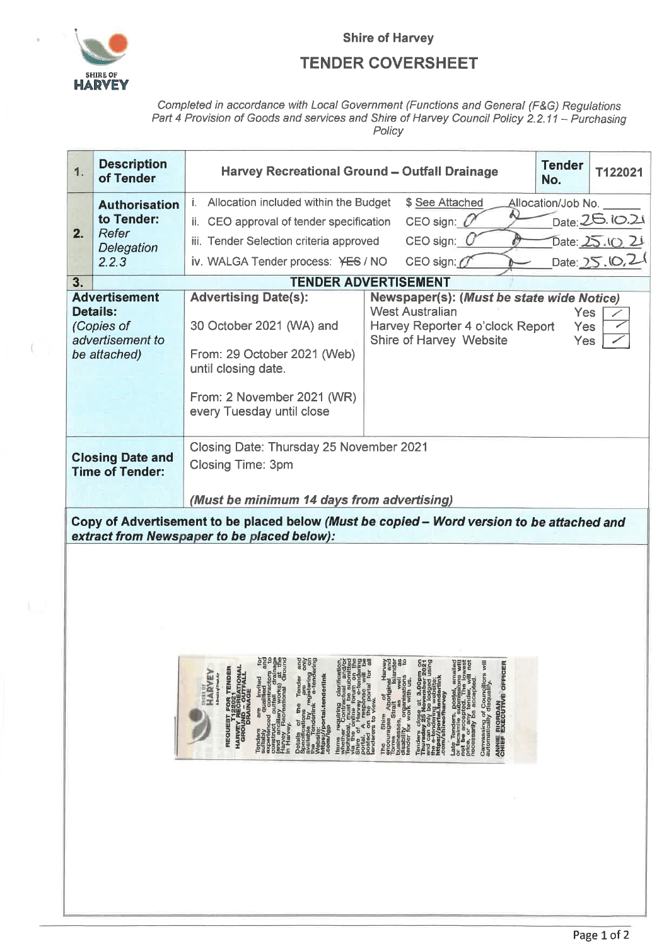

## **TENDER COVERSHEET**

Completed in accordance with Local Government (Functions and General (F&G) Regulations<br>Part 4 Provision of Goods and services and Shire of Harvey Council Policy 2.2.11 – Purchasing<br>Policy

| 1.                                                                                                                                       | <b>Description</b><br>of Tender                                    | <b>Harvey Recreational Ground - Outfall Drainage</b>                                                                                                                                                                                                                                                                                                                                                                                                                                                                                                                                                                                                                                                                                                                             | <b>Tender</b><br>No.                                                                                                          | T122021                                                                                                                                                                                                                                                                                                                                                                                            |                                               |  |                                                    |  |  |  |  |
|------------------------------------------------------------------------------------------------------------------------------------------|--------------------------------------------------------------------|----------------------------------------------------------------------------------------------------------------------------------------------------------------------------------------------------------------------------------------------------------------------------------------------------------------------------------------------------------------------------------------------------------------------------------------------------------------------------------------------------------------------------------------------------------------------------------------------------------------------------------------------------------------------------------------------------------------------------------------------------------------------------------|-------------------------------------------------------------------------------------------------------------------------------|----------------------------------------------------------------------------------------------------------------------------------------------------------------------------------------------------------------------------------------------------------------------------------------------------------------------------------------------------------------------------------------------------|-----------------------------------------------|--|----------------------------------------------------|--|--|--|--|
| 2.                                                                                                                                       | <b>Authorisation</b><br>to Tender:<br>Refer<br>Delegation<br>2.2.3 | i. Allocation included within the Budget<br>\$ See Attached<br>Allocation/Job No.<br>CEO sign: $U$<br>ii. CEO approval of tender specification<br>$CEO$ sign: $C$<br>iii. Tender Selection criteria approved<br>CEO sign: $O$<br>iv. WALGA Tender process: YES / NO                                                                                                                                                                                                                                                                                                                                                                                                                                                                                                              |                                                                                                                               |                                                                                                                                                                                                                                                                                                                                                                                                    |                                               |  | Date: 26.10.21<br>Date: 25.10.21<br>Date: 25.10,21 |  |  |  |  |
| 3.<br><b>TENDER ADVERTISEMENT</b>                                                                                                        |                                                                    |                                                                                                                                                                                                                                                                                                                                                                                                                                                                                                                                                                                                                                                                                                                                                                                  |                                                                                                                               |                                                                                                                                                                                                                                                                                                                                                                                                    |                                               |  |                                                    |  |  |  |  |
| <b>Advertisement</b><br><b>Details:</b><br>(Copies of<br>advertisement to<br>be attached)                                                |                                                                    | <b>Advertising Date(s):</b><br>Newspaper(s): (Must be state wide Notice)<br><b>West Australian</b><br><b>Yes</b><br>30 October 2021 (WA) and<br>Harvey Reporter 4 o'clock Report<br>Yes<br>Shire of Harvey Website<br>Yes<br>From: 29 October 2021 (Web)<br>until closing date.<br>From: 2 November 2021 (WR)<br>every Tuesday until close                                                                                                                                                                                                                                                                                                                                                                                                                                       |                                                                                                                               |                                                                                                                                                                                                                                                                                                                                                                                                    |                                               |  |                                                    |  |  |  |  |
| <b>Closing Date and</b><br><b>Time of Tender:</b>                                                                                        |                                                                    | Closing Date: Thursday 25 November 2021<br><b>Closing Time: 3pm</b>                                                                                                                                                                                                                                                                                                                                                                                                                                                                                                                                                                                                                                                                                                              |                                                                                                                               |                                                                                                                                                                                                                                                                                                                                                                                                    |                                               |  |                                                    |  |  |  |  |
| (Must be minimum 14 days from advertising)<br>Copy of Advertisement to be placed below (Must be copied – Word version to be attached and |                                                                    |                                                                                                                                                                                                                                                                                                                                                                                                                                                                                                                                                                                                                                                                                                                                                                                  |                                                                                                                               |                                                                                                                                                                                                                                                                                                                                                                                                    |                                               |  |                                                    |  |  |  |  |
|                                                                                                                                          |                                                                    | Tenders are invited for<br>experienced creative and<br>experienced creatives to<br>experienced creatives to<br>fend and creational cround<br>in Harve, Recreational cround<br>Dotalis of the Tender and<br>available propositions and available of the patient of only<br>available nearlink as tendering<br>website profile and actional<br>website profile and edink<br>compile profile and edink<br>thems requiring clarification,<br>resulting the state of the state of the state of Harvey e-tendering<br>points of Harvey e-tendering<br>points of Harvey e-tendering<br>points of the point for all<br>senderes of the point for all<br><b>REQUEST FOR TENDER<br/>HARVEY RECREATIONAL<br/>HARVEY RECREATIONAL</b><br>GRONNAGE<br><b>HARVEY</b><br>A Bruach of Friesk Air | The Shire Aport<br>Torres Straft Instance<br>Torres Straft Instance<br>dustriesses, as well as<br>dustries work with tions to | Tenders close at 3.00pm on<br>and can only be logger 2021<br>and can only be logger 2021<br>the e-tendering website:<br>the e-tendering website:<br>com/skineofharvey<br>Late Tenders, postal, emailed<br>or facsimile submissions will<br>price, e accepted. The lowest<br>price, accepted. The lowest<br>necessarily be accepted.<br>Canvassing of Councillors will<br>automatically disqualify. | ANNIE RIORDAN<br>CHIEF EXECUTIVE OPPICER<br>R |  |                                                    |  |  |  |  |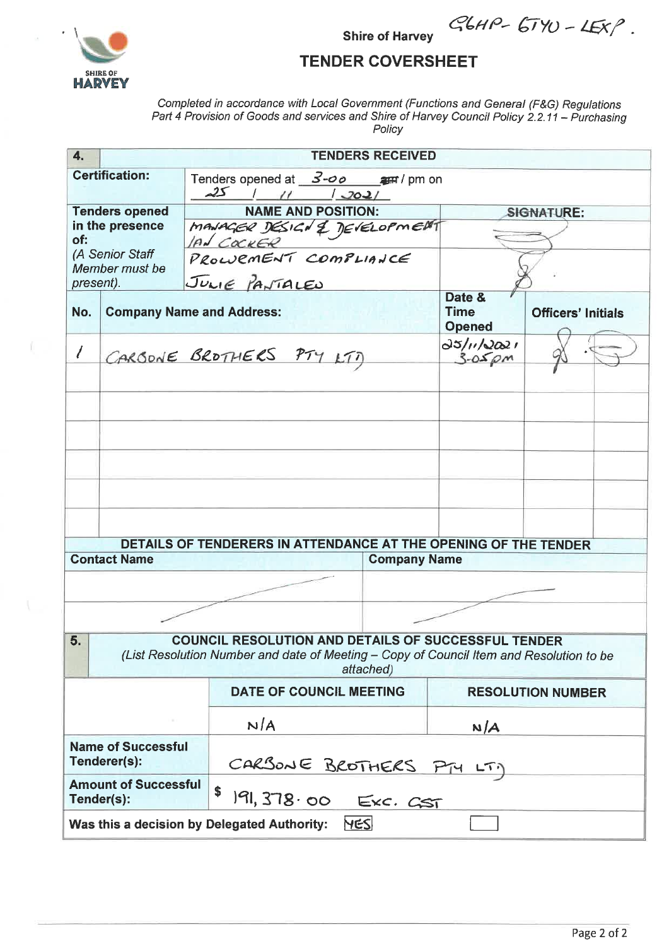

 $GbHP - 67YU - 45XP$ .

## **TENDER COVERSHEET**

**Shire of Harvey** 

Completed in accordance with Local Government (Functions and General (F&G) Regulations<br>Part 4 Provision of Goods and services and Shire of Harvey Council Policy 2.2.11 - Purchasing Policy

| 4.                                                                                                                                                                       |                     | <b>TENDERS RECEIVED</b>                                          |                                                                 |                     |                          |                           |  |  |  |
|--------------------------------------------------------------------------------------------------------------------------------------------------------------------------|---------------------|------------------------------------------------------------------|-----------------------------------------------------------------|---------------------|--------------------------|---------------------------|--|--|--|
| <b>Certification:</b><br>Tenders opened at $3\text{-}$ o arm / pm on<br>$25$ $1$ $11$ $1$ $2021$                                                                         |                     |                                                                  |                                                                 |                     |                          |                           |  |  |  |
| <b>Tenders opened</b><br>in the presence<br>of:                                                                                                                          |                     |                                                                  | <b>NAME AND POSITION:</b>                                       |                     |                          | <b>SIGNATURE:</b>         |  |  |  |
|                                                                                                                                                                          |                     |                                                                  | MANAGER DESIGN & DEVELOPMENT                                    |                     |                          |                           |  |  |  |
| (A Senior Staff<br>Member must be                                                                                                                                        |                     |                                                                  | PROWEMENT COMPLIANCE                                            |                     |                          |                           |  |  |  |
| present).                                                                                                                                                                |                     |                                                                  | JULIE PANTALES                                                  |                     | Date &                   |                           |  |  |  |
| No.                                                                                                                                                                      |                     | <b>Time</b><br><b>Company Name and Address:</b><br><b>Opened</b> |                                                                 |                     |                          | <b>Officers' Initials</b> |  |  |  |
|                                                                                                                                                                          |                     |                                                                  | CARBONE BROTHERS PTY LTT                                        |                     | 25/11/2021<br>$3-0.5$ pm |                           |  |  |  |
|                                                                                                                                                                          |                     |                                                                  |                                                                 |                     |                          |                           |  |  |  |
|                                                                                                                                                                          |                     |                                                                  |                                                                 |                     |                          |                           |  |  |  |
|                                                                                                                                                                          |                     |                                                                  |                                                                 |                     |                          |                           |  |  |  |
|                                                                                                                                                                          |                     |                                                                  |                                                                 |                     |                          |                           |  |  |  |
|                                                                                                                                                                          |                     |                                                                  | DETAILS OF TENDERERS IN ATTENDANCE AT THE OPENING OF THE TENDER |                     |                          |                           |  |  |  |
|                                                                                                                                                                          | <b>Contact Name</b> |                                                                  |                                                                 | <b>Company Name</b> |                          |                           |  |  |  |
|                                                                                                                                                                          |                     |                                                                  |                                                                 |                     |                          |                           |  |  |  |
|                                                                                                                                                                          |                     |                                                                  |                                                                 |                     |                          |                           |  |  |  |
| <b>COUNCIL RESOLUTION AND DETAILS OF SUCCESSFUL TENDER</b><br>5.<br>(List Resolution Number and date of Meeting - Copy of Council Item and Resolution to be<br>attached) |                     |                                                                  |                                                                 |                     |                          |                           |  |  |  |
|                                                                                                                                                                          |                     |                                                                  | DATE OF COUNCIL MEETING                                         |                     | <b>RESOLUTION NUMBER</b> |                           |  |  |  |
|                                                                                                                                                                          |                     |                                                                  | N/A                                                             |                     | N/A                      |                           |  |  |  |
| <b>Name of Successful</b><br>Tenderer(s):                                                                                                                                |                     |                                                                  | CARSONE BROTHERS PTY LT)                                        |                     |                          |                           |  |  |  |
| <b>Amount of Successful</b><br>Tender(s):                                                                                                                                |                     |                                                                  | \$<br>191, 378.00 Exc. CST                                      |                     |                          |                           |  |  |  |
|                                                                                                                                                                          |                     |                                                                  | <b>YES</b><br>Was this a decision by Delegated Authority:       |                     |                          |                           |  |  |  |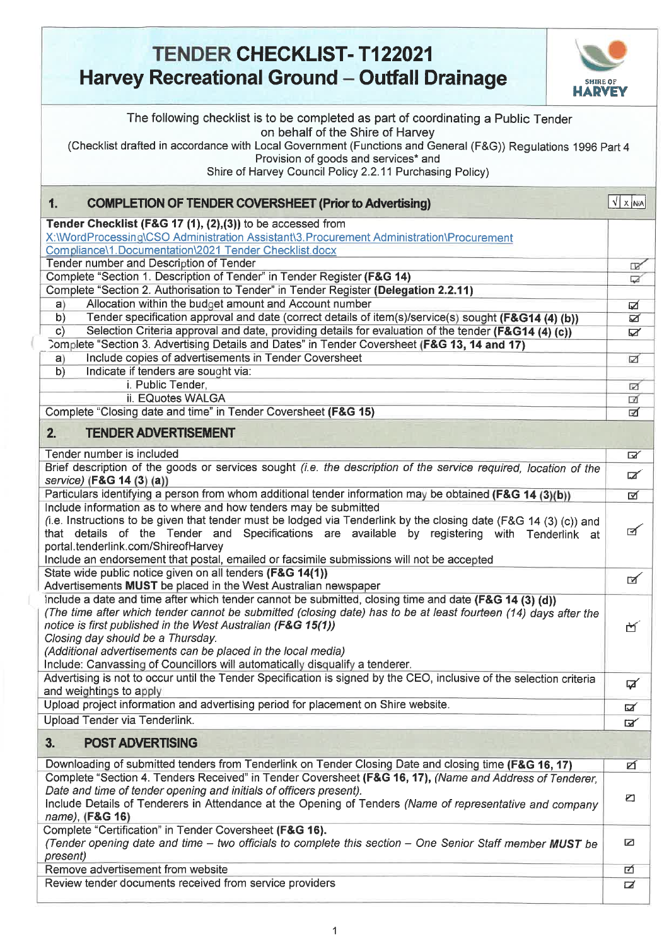## **TENDER CHECKLIST-T122021 Harvey Recreational Ground – Outfall Drainage HARVEY** SHIRE OF **HARVEY**  The following checklist is to be completed as part of coordinating a Public Tender on behalf of the Shire of Harvey (Checklist drafted in accordance with Local Government (Functions and General (F&G)) Regulations 1996 Part 4 Provision of goods and services\* and Shire of Harvey Council Policy 2.2.11 Purchasing Policy) **1. COMPLETION OF TENDER COVERSHEET (Prior to Advertising)** J **Development COMPLETION OF TENDER COVERSHEET** (Prior to Advertising) **Tender Checklist (F&G 17 (1), (2),(3))** to be accessed from X:\WordProcessing\CSO Administration Assistant\3.Procurement Administration\Procurement Compliance\1.Documentation\2021 Tender Checklist.docx Tender number and Description of Tender centers and the center center of the center of the center of the center of the center of the center of the center of the center of the center of the center of the center of the cente , Complete "Section 1. Description of Tender" in Tender Register **(F&G 14)**   $\Box$ Complete "Section 2. Authorisation to Tender" in Tender Register **(Delegation 2.2.11)**  a) Allocation within the budget amount and Account number  $\Box$ b) Tender specification approval and date (correct details of item(s)/service(s) sought **(F&G14 (4) (b))** c) Selection Criteria approval and date, providing details for evaluation of the tender **(F&G14 (4) (c))** 3omp1ete "Section 3. Advertising Details and Dates" in Tender Coversheet (F&G **13, 14 and 17)**  a) Include copies of advertisements in Tender Coversheet 1711 1711 1711 1711 1712 1712 1713 b) Indicate if tenders are sought via: i. Public Tender, and the state of the state of the state of the state of the state of the state of the state of the state of the state of the state of the state of the state of the state of the state of the state of the s ii. EQuotes WALGA  $\Box$ Complete "Closing date and time" in Tender Coversheet **(F&G 15)** 21 **2. TENDER ADVERTISEMENT**  Tender number is included model of the model method of the model of the model of the model of the model of the model of the model of the model of the model of the model of the model of the model of the model of the model o Brief description of the goods or services sought *(i.e. the description of the service required, location of the*  $\Box$ Particulars identifying a person from whom additional tender information may be obtained **(F&G 14 (3)(b))** *21*  Include information as to where and how tenders may be submitted (i.e. Instructions to be given that tender must be lodged via Tenderlink by the closing date (F&G 14 (3) (c)) and  $\triangledown$ that details of the Tender and Specifications are available by registering with Tenderlink at portal.tenderlink.com/ShireofHarvey Include an endorsement that postal, emailed or facsimile submissions will not be accepted State wide public notice given on all tenders **(F&G 14(1))**   $\overline{2}$ Advertisements **MUST** be placed in the West Australian newspaper Include a date and time after which tender cannot be submitted, closing time and date **(F&G 14 (3) (d))**  *(The time after which tender cannot be submitted (closing date) has to be at least fourteen (14) days after the notice is first published in the West Australian (F&G 15(1))*  M *Closing day should be a Thursday. (Additional advertisements can be placed in the local media)*  Include: Canvassing of Councillors will automatically disqualify a tenderer. Advertising is not to occur until the Tender Specification is signed by the CEO, inclusive of the selection criteria EX and weightings to apply Upload project information and advertising period for placement on Shire website. Upload Tender via Tenderlink.  $\mathbf{z}$ **3. POST ADVERTISING**  Downloading of submitted tenders from Tenderlink on Tender Closing Date and closing time **(F&G 16, 17)**  ø Complete "Section 4. Tenders Received" in Tender Coversheet (F&G 16, 17), *(Name and Address of Tenderer. Date and time of tender opening and initials of officers present).*   $\triangleright$ Include Details of Tenderers in Attendance at the Opening of Tenders *(Name of representative and company name),* **(F&G 16)**  Complete "Certification" in Tender Coversheet **(F&G 16).**  Ø *(Tender opening date and time — two officials to complete this section — One Senior Staff member MUST be present*) Remove advertisement from website 靣 Review tender documents received from service providers  $\overline{\mathbf{z}}$